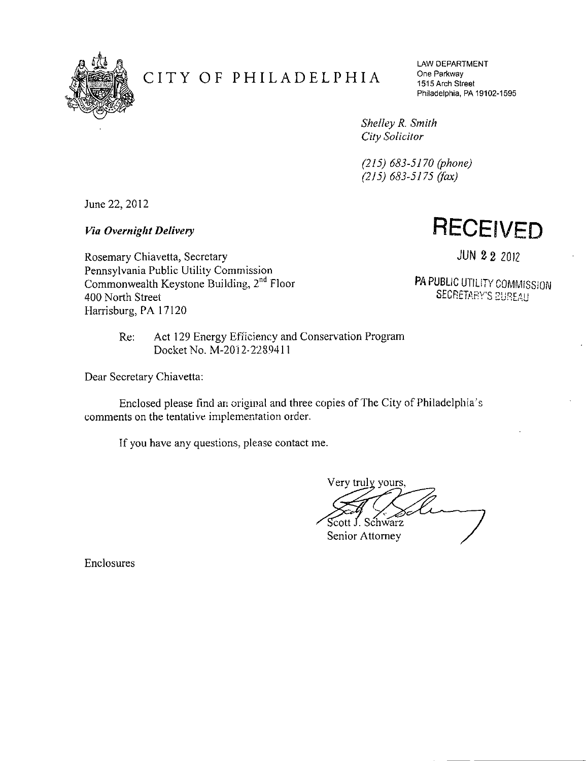

## **CITY OF PHILADELPHIA**

LAW DEPARTMENT One Parkway 1515 Arch Street Philadelphia, PA 19102-1595

*Shelley R. Smith City Solicitor* 

*(215) 683-5170 (phone) (215) 683-5175 (fax)* 

June 22, 2012

*Via Overnight Delivery* 

**RECEIVED** 

Rosemary Chiavetta, Secretary Pennsylvania Public Utility Commission Commonwealth Keystone Building, 2<sup>nd</sup> Floor 400 North Street Harrisburg, PA 17120

JUN 2 2 2012

PA PUBLIC UTILITY COMMISSION SECRETARY'S BUREAU

Re: Act 129 Energy Efficiency and Conservation Program Docket No. M-2012-2289411

Dear Secretary Chiavetta:

Enclosed please find an original and three copies of The City of Philadelphia's comments on the tentative implementation order.

If you have any questions., please contact me.

Very truly yours, Scott J. Schwarz

Senior Attorney

Enclosures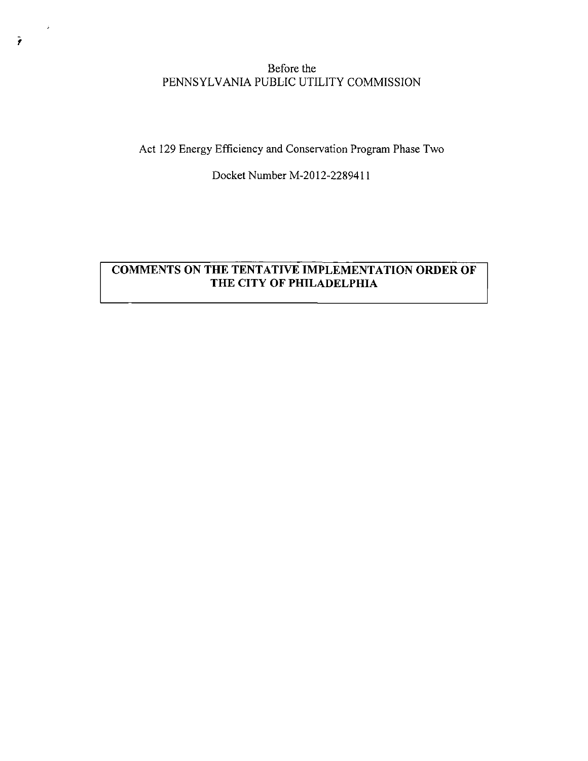## Before the PENNSYLVANIA PUBLIC UTILITY COMMISSION

**Act 129 Energy Efficiency and Conservation Program Phase Two** 

**Docket Number M-2012-2289411** 

## **COMMENTS ON THE TENTATIVE IMPLEMENTATION ORDER OF THE CITY OF PHILADELPHIA**

 $\rightarrow$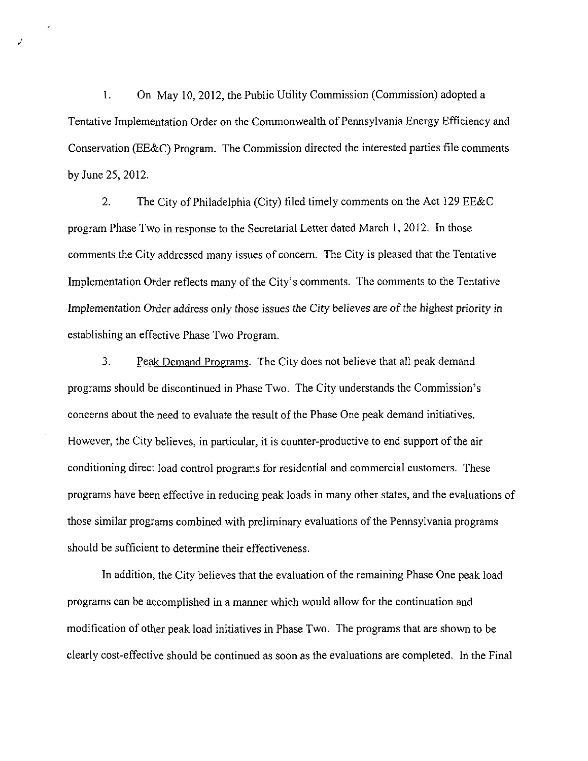1. On May 10, 2012, the Public Utility Commission (Commission) adopted a Tentative Implementation Order on the Commonwealth of Pennsylvania Energy Efficiency and Conservation (EE&C) Program. The Commission directed the interested parties file comments by June 25,2012.

 $\mathcal{P}$ 

2. The City of Philadelphia (City) filed timely comments on the Act 129 EE&C program Phase Two in response to the Secretarial Letter dated March 1, 2012. In those comments the City addressed many issues of concern. The City is pleased that the Tentative Implementation Order reflects many of the City's comments. The comments to the Tentative Implementation Order address only those issues the City believes are of the highest priority in establishing an effective Phase Two Program.

3. Peak Demand Programs. The City does not believe that all peak demand programs should be discontinued in Phase Two. The City understands the Commission's concerns about the need to evaluate the result of the Phase One peak demand initiatives. However, the City believes, in particular, it is counter-productive to end support of the air conditioning direct load control programs for residential and commercial customers. These programs have been effective in reducing peak loads in many other states, and the evaluations of those similar programs combined with preliminary evaluations of the Pennsylvania programs should be sufficient to determine their effectiveness.

In addition, the City believes that the evaluation of the remaining Phase One peak load programs can be accomplished in a manner which would allow for the continuation and modification of other peak load initiatives in Phase Two. The programs that are shown to be clearly cost-effective should be continued as soon as the evaluations are completed. In the Final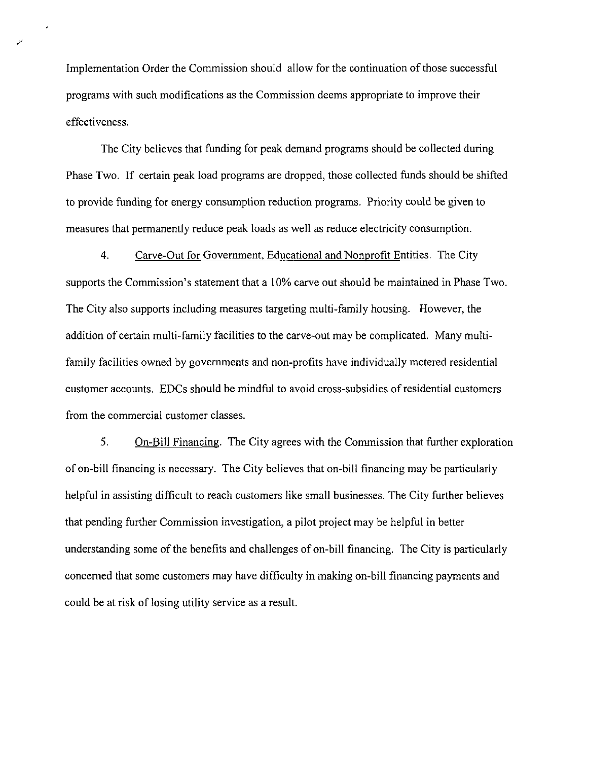Implementation Order the Commission should allow for the continuation of those successful programs with such modifications as the Commission deems appropriate to improve their effectiveness.

The City believes that funding for peak demand programs should be collected during Phase Two. If certain peak load programs are dropped, those collected funds should be shifted to provide funding for energy consumption reduction programs. Priority could be given to measures that permanently reduce peak loads as well as reduce electricity consumption.

4. Carve-Out for Government, Educational and Nonprofit Entities. The City supports the Commission's statement that a 10% carve out should be maintained in Phase Two. The City also supports including measures targeting multi-family housing. However, the addition of certain multi-family facilities to the carve-out may be complicated. Many multifamily facilities owned by governments and non-profits have individually metered residential customer accounts. EDCs should be mindful to avoid cross-subsidies of residential customers from the commercial customer classes.

5. On-Bill Financing. The City agrees with the Commission that further exploration of on-bill financing is necessary. The City believes that on-bill financing may be particularly helpful in assisting difficult to reach customers like small businesses. The City further believes that pending further Commission investigation, a pilot project may be helpful in better understanding some of the benefits and challenges of on-bill financing. The City is particularly concerned that some customers may have difficulty in making on-bill financing payments and could be at risk of losing utility service as a result.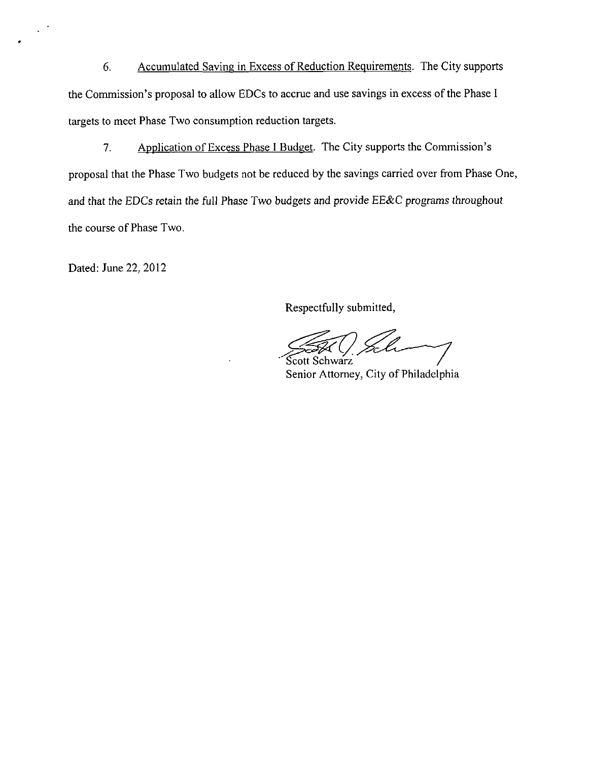6. Accumulated Saving in Excess of Reduction Requirements. The City supports the Commission's proposal to allow EDCs to accrue and use savings in excess of the Phase I targets to meet Phase Two consumption reduction targets.

7. Application of Excess Phase I Budget. The City supports the Commission's proposal that the Phase Two budgets not be reduced by the savings carried over from Phase One, and that the EDCs retain the full Phase Two budgets and provide EE&C programs throughout the course of Phase Two.

Dated: June 22, 2012

Respectfully submitted.

Scott Schwarz

Senior Attorney, City of Philadelphia